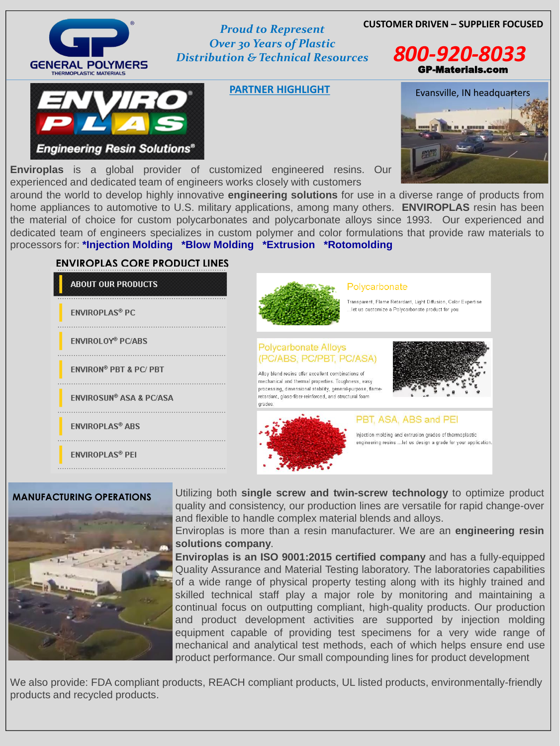## **CUSTOMER DRIVEN – SUPPLIER FOCUSED** *Proud to Represent*

# GENERAL POLYMERS **THERMOPLASTIC MATERIALS**

*Over 30 Years of Plastic Distribution & Technical Resources 800-920-8033*

**PARTNER HIGHLIGHT**

GP-Materials.com

**Enviroplas** is a global provider of customized engineered resins. Our experienced and dedicated team of engineers works closely with customers





around the world to develop highly innovative **engineering solutions** for use in a diverse range of products from home appliances to automotive to U.S. military applications, among many others. **ENVIROPLAS** resin has been the material of choice for custom polycarbonates and polycarbonate alloys since 1993. Our experienced and dedicated team of engineers specializes in custom polymer and color formulations that provide raw materials to processors for: **\*Injection Molding \*Blow Molding \*Extrusion \*Rotomolding**

We also provide: FDA compliant products, REACH compliant products, UL listed products, environmentally-friendly products and recycled products.

Utilizing both **single screw and twin-screw technology** to optimize product quality and consistency, our production lines are versatile for rapid change-over and flexible to handle complex material blends and alloys. Enviroplas is more than a resin manufacturer. We are an **engineering resin solutions company**. **Enviroplas is an ISO 9001:2015 certified company** and has a fully-equipped Quality Assurance and Material Testing laboratory. The laboratories capabilities of a wide range of physical property testing along with its highly trained and skilled technical staff play a major role by monitoring and maintaining a continual focus on outputting compliant, high-quality products. Our production and product development activities are supported by injection molding equipment capable of providing test specimens for a very wide range of mechanical and analytical test methods, each of which helps ensure end use product performance. Our small compounding lines for product development



#### Polycarbonate

Transparent, Flame Retardant, Light Diffusion, Color Expertise let us customize a Polycarbonate product for you.

#### **Polycarbonate Alloys** (PC/ABS, PC/PBT, PC/ASA)

Alloy blend resins offer excellent combinations of mechanical and thermal properties. Toughness, easy processing, dimensional stability, general-purpose, flameretardant, glass-fiber-reinforced, and structural foam grades





### **ENVIROPLAS CORE PRODUCT LINES**

**TVIRO** 

**Engineering Resin Solutions®** 

**ABOUT OUR PRODUCTS** 

**ENVIROPLAS® PC** 

**ENVIROLOY® PC/ABS** 

**ENVIRON® PBT & PC/ PBT** 

**ENVIROSUN® ASA & PC/ASA** 

**ENVIROPLAS® ABS** 

**ENVIROPLAS® PEI** 

#### **MANUFACTURING OPERATIONS**